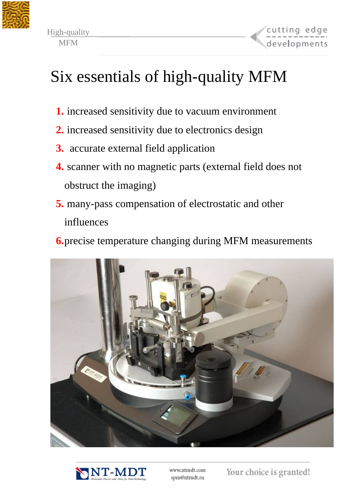



# Six essentials of high-quality MFM

- **1.** increased sensitivity due to vacuum environment
- **2.** increased sensitivity due to electronics design
- **3.** accurate external field application
- **4.** scanner with no magnetic parts (external field does not obstruct the imaging)
- **5.** many-pass compensation of electrostatic and other influences
- **6.**precise temperature changing during MFM measurements





www.ntmdt.com spm@ntmdt.ru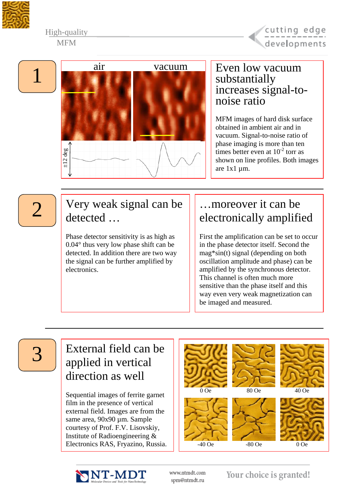

#### High-quality **MFM**





#### Even low vacuum substantially increases signal-tonoise ratio

MFM images of hard disk surface obtained in ambient air and in vacuum. Signal-to-noise ratio of phase imaging is more than ten times better even at  $10^{-2}$  torr as shown on line profiles. Both images are 1x1 µm.

# 2

#### Very weak signal can be detected …

Phase detector sensitivity is as high as 0.04° thus very low phase shift can be detected. In addition there are two way the signal can be further amplified by electronics.

#### …moreover it can be electronically amplified

First the amplification can be set to occur in the phase detector itself. Second the mag\*sin(t) signal (depending on both oscillation amplitude and phase) can be amplified by the synchronous detector. This channel is often much more sensitive than the phase itself and this way even very weak magnetization can be imaged and measured.

3

#### External field can be applied in vertical direction as well

Sequential images of ferrite garnet film in the presence of vertical external field. Images are from the same area, 90x90 µm. Sample courtesy of Prof. F.V. Lisovskiy, Institute of Radioengineering & Electronics RAS, Fryazino, Russia.





www.ntmdt.com spm@ntmdt.ru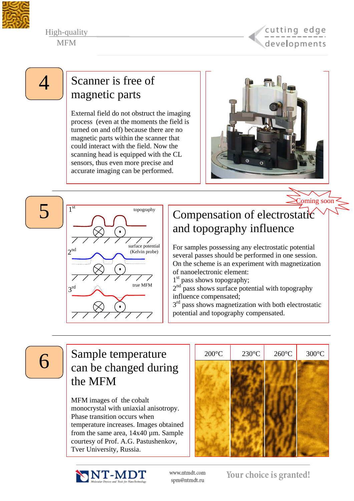

High-quality **MFM** 



Coming soon

#### $\vert \cdot \vert$  Scanner is free of magnetic parts

External field do not obstruct the imaging process (even at the moments the field is turned on and off) because there are no magnetic parts within the scanner that could interact with the field. Now the scanning head is equipped with the CL sensors, thus even more precise and accurate imaging can be performed.



5 topography  $2^{nd}$  $3<sup>rd</sup>$ surface potential (Kelvin probe) true MFM

### Compensation of electrostatic and topography influence

For samples possessing any electrostatic potential several passes should be performed in one session. On the scheme is an experiment with magnetization of nanoelectronic element:

 $1<sup>st</sup>$  pass shows topography;

 $2<sup>nd</sup>$  pass shows surface potential with topography influence compensated;

 $3<sup>rd</sup>$  pass shows magnetization with both electrostatic potential and topography compensated.

#### $\begin{bmatrix} 6 \end{bmatrix}$  Sample temperature can be changed during the MFM

MFM images of the cobalt monocrystal with uniaxial anisotropy. Phase transition occurs when temperature increases. Images obtained from the same area, 14x40 µm. Sample courtesy of Prof. A.G. Pastushenkov, Tver University, Russia.





www.ntmdt.com spm@ntmdt.ru